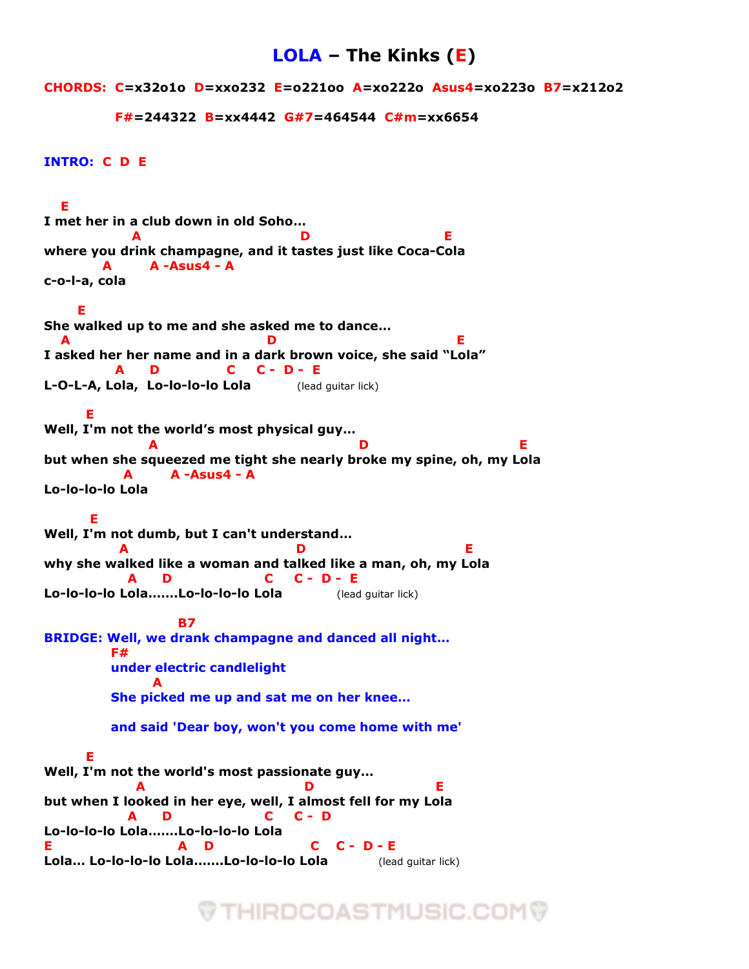## **LOLA – The Kinks (E)**

**CHORDS: C=x32o1o D=xxo232 E=o221oo A=xo222o Asus4=xo223o B7=x212o2**

```
 F#=244322 B=xx4442 G#7=464544 C#m=xx6654
```

```
INTRO: C D E
```
 **E I met her in a club down in old Soho… A D E where you drink champagne, and it tastes just like Coca-Cola A A -Asus4 - A c-o-l-a, cola E She walked up to me and she asked me to dance… A D E I asked her her name and in a dark brown voice, she said "Lola" A D C C - D - E L-O-L-A, Lola, Lo-lo-lo-lo Lola** (lead guitar lick)  **E Well, I'm not the world's most physical guy… A D E but when she squeezed me tight she nearly broke my spine, oh, my Lola A A -Asus4 - A Lo-lo-lo-lo Lola E Well, I'm not dumb, but I can't understand… A D E why she walked like a woman and talked like a man, oh, my Lola A D C C - D - E Lo-lo-lo-lo Lola…….Lo-lo-lo-lo Lola** (lead guitar lick) **B7 BRIDGE: Well, we drank champagne and danced all night… F# under electric candlelight** *A*  **She picked me up and sat me on her knee… and said 'Dear boy, won't you come home with me' E Well, I'm not the world's most passionate guy… A D E but when I looked in her eye, well, I almost fell for my Lola A D C C - D Lo-lo-lo-lo Lola…….Lo-lo-lo-lo Lola E A D C C - D - E Lola… Lo-lo-lo-lo Lola…….Lo-lo-lo-lo Lola** (lead guitar lick)

## **THIRDCOASTMUSIC.COM**